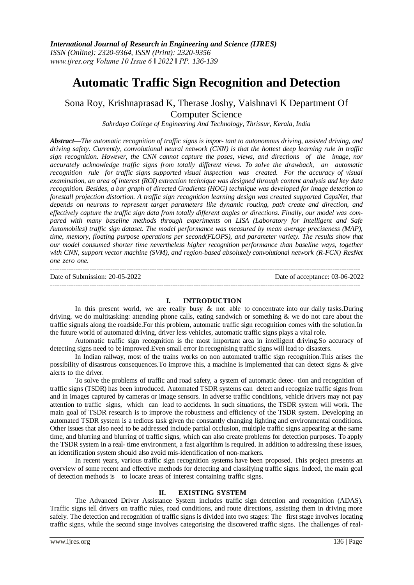# **Automatic Traffic Sign Recognition and Detection**

Sona Roy, Krishnaprasad K, Therase Joshy, Vaishnavi K Department Of Computer Science

*Sahrdaya College of Engineering And Technology, Thrissur, Kerala, India*

*Abstract—The automatic recognition of traffic signs is impor- tant to autonomous driving, assisted driving, and driving safety. Currently, convolutional neural network (CNN) is that the hottest deep learning rule in traffic sign recognition. However, the CNN cannot capture the poses, views, and directions of the image, nor accurately acknowledge traffic signs from totally different views. To solve the drawback, an automatic recognition rule for traffic signs supported visual inspection was created. For the accuracy of visual examination, an area of interest (ROI) extraction technique was designed through content analysis and key data recognition. Besides, a bar graph of directed Gradients (HOG) technique was developed for image detection to forestall projection distortion. A traffic sign recognition learning design was created supported CapsNet, that depends on neurons to represent target parameters like dynamic routing, path create and direction, and effectively capture the traffic sign data from totally different angles or directions. Finally, our model was compared with many baseline methods through experiments on LISA (Laboratory for Intelligent and Safe Automobiles) traffic sign dataset. The model performance was measured by mean average preciseness (MAP), time, memory, floating purpose operations per second(FLOPS), and parameter variety. The results show that our model consumed shorter time nevertheless higher recognition performance than baseline ways, together with CNN, support vector machine (SVM), and region-based absolutely convolutional network (R-FCN) ResNet one zero one.*

| Date of Submission: $20-05-2022$ | Date of acceptance: 03-06-2022 |
|----------------------------------|--------------------------------|
|                                  |                                |

### **I. INTRODUCTION**

In this present world, we are really busy  $\&$  not able to concentrate into our daily tasks. During driving, we do multitasking: attending phone calls, eating sandwich or something & we do not care about the traffic signals along the roadside.For this problem, automatic traffic sign recognition comes with the solution.In the future world of automated driving, driver less vehicles, automatic traffic signs plays a vital role.

Automatic traffic sign recognition is the most important area in intelligent driving.So accuracy of detecting signs need to be improved.Even small error in recognising traffic signs will lead to disasters.

In Indian railway, most of the trains works on non automated traffic sign recognition.This arises the possibility of disastrous consequences.To improve this, a machine is implemented that can detect signs & give alerts to the driver.

To solve the problems of traffic and road safety, a system of automatic detec- tion and recognition of traffic signs (TSDR) has been introduced. Automated TSDR systems can detect and recognize traffic signs from and in images captured by cameras or image sensors. In adverse traffic conditions, vehicle drivers may not pay attention to traffic signs, which can lead to accidents. In such situations, the TSDR system will work. The main goal of TSDR research is to improve the robustness and efficiency of the TSDR system. Developing an automated TSDR system is a tedious task given the constantly changing lighting and environmental conditions. Other issues that also need to be addressed include partial occlusion, multiple traffic signs appearing at the same time, and blurring and blurring of traffic signs, which can also create problems for detection purposes. To apply the TSDR system in a real- time environment, a fast algorithm is required. In addition to addressing these issues, an identification system should also avoid mis-identification of non-markers.

In recent years, various traffic sign recognition systems have been proposed. This project presents an overview of some recent and effective methods for detecting and classifying traffic signs. Indeed, the main goal of detection methods is to locate areas of interest containing traffic signs.

## **II. EXISTING SYSTEM**

The Advanced Driver Assistance System includes traffic sign detection and recognition (ADAS). Traffic signs tell drivers on traffic rules, road conditions, and route directions, assisting them in driving more safely. The detection and recognition of traffic signs is divided into two stages: The first stage involves locating traffic signs, while the second stage involves categorising the discovered traffic signs. The challenges of real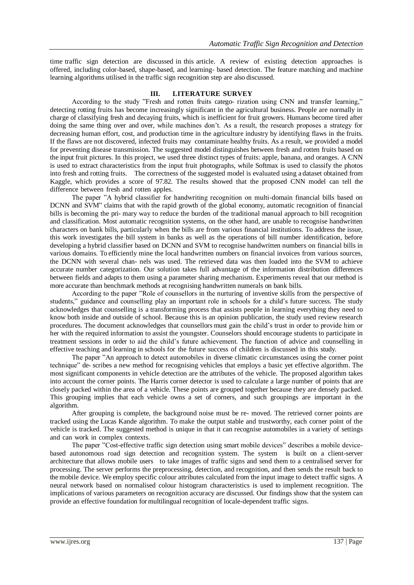time traffic sign detection are discussed in this article. A review of existing detection approaches is offered, including color-based, shape-based, and learning- based detection. The feature matching and machine learning algorithms utilised in the traffic sign recognition step are also discussed.

# **III. LITERATURE SURVEY**

According to the study "Fresh and rotten fruits catego- rization using CNN and transfer learning," detecting rotting fruits has become increasingly significant in the agricultural business. People are normally in charge of classifying fresh and decaying fruits, which is inefficient for fruit growers. Humans become tired after doing the same thing over and over, while machines don't. As a result, the research proposes a strategy for decreasing human effort, cost, and production time in the agriculture industry by identifying flaws in the fruits. If the flaws are not discovered, infected fruits may contaminate healthy fruits. As a result, we provided a model for preventing disease transmission. The suggested model distinguishes between fresh and rotten fruits based on the input fruit pictures. In this project, we used three distinct types of fruits: apple, banana, and oranges. A CNN is used to extract characteristics from the input fruit photographs, while Softmax is used to classify the photos into fresh and rotting fruits. The correctness of the suggested model is evaluated using a dataset obtained from Kaggle, which provides a score of 97.82. The results showed that the proposed CNN model can tell the difference between fresh and rotten apples.

The paper "A hybrid classifier for handwriting recognition on multi-domain financial bills based on DCNN and SVM" claims that with the rapid growth of the global economy, automatic recognition of financial bills is becoming the pri- mary way to reduce the burden of the traditional manual approach to bill recognition and classification. Most automatic recognition systems, on the other hand, are unable to recognise handwritten characters on bank bills, particularly when the bills are from various financial institutions. To address the issue, this work investigates the bill system in banks as well as the operations of bill number identification, before developing a hybrid classifier based on DCNN and SVM to recognise handwritten numbers on financial bills in various domains. To efficiently mine the local handwritten numbers on financial invoices from various sources, the DCNN with several chan- nels was used. The retrieved data was then loaded into the SVM to achieve accurate number categorization. Our solution takes full advantage of the information distribution differences between fields and adapts to them using a parameter sharing mechanism. Experiments reveal that our method is more accurate than benchmark methods at recognising handwritten numerals on bank bills.

According to the paper "Role of counsellors in the nurturing of inventive skills from the perspective of students," guidance and counselling play an important role in schools for a child's future success. The study acknowledges that counselling is a transforming process that assists people in learning everything they need to know both inside and outside of school. Because this is an opinion publication, the study used review research procedures. The document acknowledges that counsellors must gain the child's trust in order to provide him or her with the required information to assist the youngster. Counselors should encourage students to participate in treatment sessions in order to aid the child's future achievement. The function of advice and counselling in effective teaching and learning in schools for the future success of children is discussed in this study.

The paper "An approach to detect automobiles in diverse climatic circumstances using the corner point technique" de- scribes a new method for recognising vehicles that employs a basic yet effective algorithm. The most significant components in vehicle detection are the attributes of the vehicle. The proposed algorithm takes into account the corner points. The Harris corner detector is used to calculate a large number of points that are closely packed within the area of a vehicle. These points are grouped together because they are densely packed. This grouping implies that each vehicle owns a set of corners, and such groupings are important in the algorithm.

After grouping is complete, the background noise must be re- moved. The retrieved corner points are tracked using the Lucas Kande algorithm. To make the output stable and trustworthy, each corner point of the vehicle is tracked. The suggested method is unique in that it can recognise automobiles in a variety of settings and can work in complex contexts.

The paper "Cost-effective traffic sign detection using smart mobile devices" describes a mobile devicebased autonomous road sign detection and recognition system. The system is built on a client-server architecture that allows mobile users to take images of traffic signs and send them to a centralised server for processing. The server performs the preprocessing, detection, and recognition, and then sends the result back to the mobile device. We employ specific colour attributes calculated from the input image to detect traffic signs. A neural network based on normalised colour histogram characteristics is used to implement recognition. The implications of various parameters on recognition accuracy are discussed. Our findings show that the system can provide an effective foundation for multilingual recognition of locale-dependent traffic signs.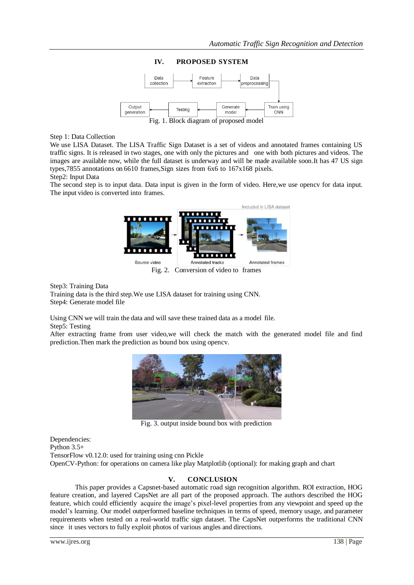

**IV. PROPOSED SYSTEM**

Fig. 1. Block diagram of proposed model

# Step 1: Data Collection

We use LISA Dataset. The LISA Traffic Sign Dataset is a set of videos and annotated frames containing US traffic signs. It is released in two stages, one with only the pictures and one with both pictures and videos. The images are available now, while the full dataset is underway and will be made available soon.It has 47 US sign types,7855 annotations on 6610 frames,Sign sizes from 6x6 to 167x168 pixels.

### Step2: Input Data

The second step is to input data. Data input is given in the form of video. Here,we use opencv for data input. The input video is converted into frames.



Fig. 2. Conversion of video to frames

Step3: Training Data

Training data is the third step.We use LISA dataset for training using CNN. Step4: Generate model file

Using CNN we will train the data and will save these trained data as a model file. Step5: Testing

After extracting frame from user video,we will check the match with the generated model file and find prediction.Then mark the prediction as bound box using opencv.



Fig. 3. output inside bound box with prediction

Dependencies: Python 3.5+ TensorFlow v0.12.0: used for training using cnn Pickle OpenCV-Python: for operations on camera like play Matplotlib (optional): for making graph and chart

# **V. CONCLUSION**

This paper provides a Capsnet-based automatic road sign recognition algorithm. ROI extraction, HOG feature creation, and layered CapsNet are all part of the proposed approach. The authors described the HOG feature, which could efficiently acquire the image's pixel-level properties from any viewpoint and speed up the model's learning. Our model outperformed baseline techniques in terms of speed, memory usage, and parameter requirements when tested on a real-world traffic sign dataset. The CapsNet outperforms the traditional CNN since it uses vectors to fully exploit photos of various angles and directions.